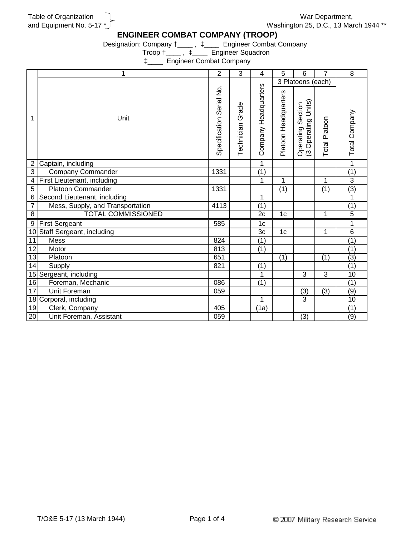Table of Organization and Equipment No. 5-17 \*

War Department, Washington 25, D.C., 13 March 1944 \*\*

## **ENGINEER COMBAT COMPANY (TROOP)**

Designation: Company †\_\_\_\_ , ‡\_\_\_\_ Engineer Combat Company

Troop †\_\_\_\_ , ‡\_\_\_\_ Engineer Squadron

‡\_\_\_\_ Engineer Combat Company

|                 | 1                                  | $\overline{2}$           | 3                   | 4                    | 5                    | 6                                             | $\overline{7}$       | 8                |
|-----------------|------------------------------------|--------------------------|---------------------|----------------------|----------------------|-----------------------------------------------|----------------------|------------------|
| 1               |                                    |                          |                     |                      | 3 Platoons (each)    |                                               |                      |                  |
|                 | Unit                               | Specification Serial No. | Grade<br>Technician | Company Headquarters | Platoon Headquarters | Operating Units)<br>Section<br>Operating<br>ಲ | <b>Total Platoon</b> | Total Company    |
| $\overline{c}$  | Captain, including                 |                          |                     | 1                    |                      |                                               |                      | 1                |
| $\overline{3}$  | <b>Company Commander</b>           | 1331                     |                     | $\overline{(1)}$     |                      |                                               |                      | $\overline{(1)}$ |
| 4               | <b>First Lieutenant, including</b> |                          |                     | 1                    | 1                    |                                               | 1                    | $\overline{3}$   |
| 5               | <b>Platoon Commander</b>           | 1331                     |                     |                      | (1)                  |                                               | (1)                  | $\overline{3}$   |
| 6               | Second Lieutenant, including       |                          |                     | 1                    |                      |                                               |                      | 1                |
| $\overline{7}$  | Mess, Supply, and Transportation   | 4113                     |                     | $\overline{(1)}$     |                      |                                               |                      | (1)              |
| $\overline{8}$  | <b>TOTAL COMMISSIONED</b>          |                          |                     | $\overline{2c}$      | 1 <sub>c</sub>       |                                               | 1                    | $\overline{5}$   |
| $\overline{9}$  | <b>First Sergeant</b>              | 585                      |                     | $\overline{1c}$      |                      |                                               |                      | 1                |
| 10              | Staff Sergeant, including          |                          |                     | 3c                   | 1 <sub>c</sub>       |                                               | 1                    | 6                |
| 11              | Mess                               | 824                      |                     | $\overline{(1)}$     |                      |                                               |                      | $\overline{(1)}$ |
| $\overline{12}$ | Motor                              | 813                      |                     | $\overline{(1)}$     |                      |                                               |                      | $\overline{(1)}$ |
| 13              | Platoon                            | 651                      |                     |                      | (1)                  |                                               | (1)                  | (3)              |
| 14              | Supply                             | 821                      |                     | (1)                  |                      |                                               |                      | $\overline{(1)}$ |
| 15              | Sergeant, including                |                          |                     | 1                    |                      | 3                                             | $\overline{3}$       | $\overline{10}$  |
| 16              | Foreman, Mechanic                  | 086                      |                     | $\overline{(1)}$     |                      |                                               |                      | (1)              |
| 17              | <b>Unit Foreman</b>                | 059                      |                     |                      |                      | (3)                                           | (3)                  | $\overline{(9)}$ |
| 18              | Corporal, including                |                          |                     | 1                    |                      | 3                                             |                      | 10               |
| 19              | Clerk, Company                     | 405                      |                     | (1a)                 |                      |                                               |                      | (1)              |
| 20              | Unit Foreman, Assistant            | $\overline{059}$         |                     |                      |                      | (3)                                           |                      | $\overline{(9)}$ |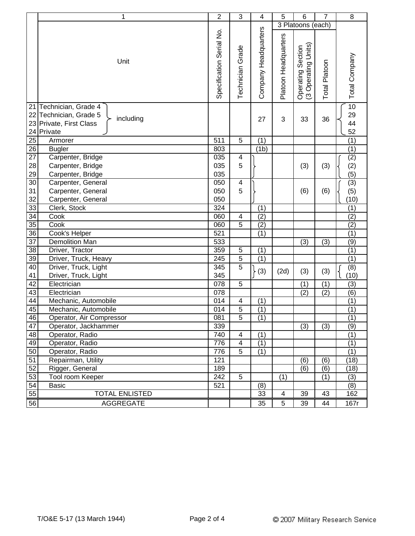|                 | 1                                                                                                | $\overline{2}$           | $\mathbf{3}$            | $\overline{\mathbf{4}}$ | 5                    | 6                                                 | $\overline{7}$   | 8                                 |
|-----------------|--------------------------------------------------------------------------------------------------|--------------------------|-------------------------|-------------------------|----------------------|---------------------------------------------------|------------------|-----------------------------------|
|                 |                                                                                                  |                          |                         |                         | 3 Platoons (each)    |                                                   |                  |                                   |
|                 | Unit                                                                                             | Specification Serial No. | Grade<br>Technician     | Company Headquarters    | Platoon Headquarters | Units)<br>Section<br>Operating<br>Operating<br>್ರ | Total Platoon    | Total Company                     |
| 22<br>24        | 21 Technician, Grade 4<br>Technician, Grade 5<br>including<br>23 Private, First Class<br>Private |                          |                         | 27                      | 3                    | 33                                                | 36               | $\overline{10}$<br>29<br>44<br>52 |
| 25              | Armorer                                                                                          | 511                      | 5                       | (1)                     |                      |                                                   |                  | (1)                               |
| 26              | <b>Bugler</b>                                                                                    | 803                      |                         | (1 <sub>b</sub> )       |                      |                                                   |                  | (1)                               |
| $\overline{27}$ | Carpenter, Bridge                                                                                | 035                      | 4                       |                         |                      |                                                   |                  | (2)                               |
| 28              | Carpenter, Bridge                                                                                | 035                      | 5                       |                         |                      | (3)                                               | (3)              | (2)                               |
| 29              | Carpenter, Bridge                                                                                | 035                      |                         |                         |                      |                                                   |                  | (5)                               |
| 30              | Carpenter, General                                                                               | 050                      | 4                       |                         |                      |                                                   |                  | (3)                               |
| 31              | Carpenter, General                                                                               | 050                      | 5                       |                         |                      | (6)                                               | (6)              | (5)                               |
| 32              | Carpenter, General                                                                               | 050                      |                         |                         |                      |                                                   |                  | (10)                              |
| 33              | Clerk, Stock                                                                                     | 324                      |                         | (1)                     |                      |                                                   |                  | (1)                               |
| $\overline{34}$ | Cook                                                                                             | 060                      | 4                       | (2)                     |                      |                                                   |                  | (2)                               |
| $\overline{35}$ | Cook                                                                                             | 060                      | 5                       | $\overline{(2)}$        |                      |                                                   |                  | (2)                               |
| $\overline{36}$ | Cook's Helper                                                                                    | 521                      |                         | (1)                     |                      |                                                   |                  | (1)                               |
| $\overline{37}$ | <b>Demolition Man</b>                                                                            | 533                      |                         |                         |                      | (3)                                               | (3)              | (9)                               |
| 38              | Driver, Tractor                                                                                  | 359                      | 5                       | (1)                     |                      |                                                   |                  | (1)                               |
| 39              | Driver, Truck, Heavy                                                                             | 245                      | $\overline{5}$          | (1)                     |                      |                                                   |                  | (1)                               |
| 40              | Driver, Truck, Light                                                                             | 345                      | 5                       |                         |                      |                                                   |                  | (8)                               |
| 41              | Driver, Truck, Light                                                                             | 345                      |                         | (3)                     | (2d)                 | (3)                                               | (3)              | (10)                              |
| 42              | Electrician                                                                                      | 078                      | 5                       |                         |                      | (1)                                               | $\overline{(1)}$ | $\overline{3}$                    |
| 43              | Electrician                                                                                      | 078                      |                         |                         |                      | (2)                                               | (2)              | (6)                               |
| 44              | Mechanic, Automobile                                                                             | 014                      | $\overline{\mathbf{4}}$ | (1)                     |                      |                                                   |                  | $\overline{(1)}$                  |
| 45              | Mechanic, Automobile                                                                             | 014                      | 5                       | (1)                     |                      |                                                   |                  | (1)                               |
| 46              | Operator, Air Compressor                                                                         | 081                      | $\overline{5}$          | (1)                     |                      |                                                   |                  | (1)                               |
| 47              | Operator, Jackhammer                                                                             | 339                      |                         |                         |                      | (3)                                               | (3)              | (9)                               |
| 48              | Operator, Radio                                                                                  | 740                      | 4                       | (1)                     |                      |                                                   |                  | (1)                               |
| 49              | Operator, Radio                                                                                  | 776                      | 4                       | (1)                     |                      |                                                   |                  | (1)                               |
| 50              | Operator, Radio                                                                                  | 776                      | 5                       | (1)                     |                      |                                                   |                  | (1)                               |
| 51              | Repairman, Utility                                                                               | 121                      |                         |                         |                      | (6)                                               | (6)              | (18)                              |
| 52              | Rigger, General                                                                                  | 189                      |                         |                         |                      | (6)                                               | (6)              | (18)                              |
| 53              | Tool room Keeper                                                                                 | 242                      | $\overline{5}$          |                         | (1)                  |                                                   | (1)              | (3)                               |
| 54              | <b>Basic</b>                                                                                     | 521                      |                         | (8)                     |                      |                                                   |                  | $\overline{(8)}$                  |
| $\overline{55}$ | <b>TOTAL ENLISTED</b>                                                                            |                          |                         | 33                      | $\overline{4}$       | 39                                                | 43               | 162                               |
| 56              | <b>AGGREGATE</b>                                                                                 |                          |                         | 35                      | $\overline{5}$       | 39                                                | 44               | 167r                              |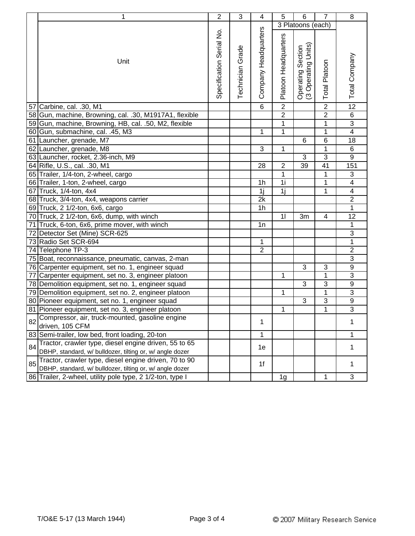| 3 Platoons (each)<br>Company Headquarters<br>Specification Serial No.<br>Platoon Headquarters<br>Units)<br>Technician Grade<br>Operating Section<br>(3 Operating Units<br>Total Company<br>Unit<br><b>Total Platoon</b><br>Operating<br>$\overline{2}$<br>$\overline{2}$<br>$\overline{12}$<br>6<br>57 Carbine, cal. .30, M1<br>$\overline{2}$<br>$\overline{2}$<br>$\overline{6}$<br>58 Gun, machine, Browning, cal. .30, M1917A1, flexible<br>$\overline{3}$<br>1<br>59 Gun, machine, Browning, HB, cal. .50, M2, flexible<br>1<br>1<br>$\overline{\mathbf{4}}$<br>60 Gun, submachine, cal. .45, M3<br>1<br>1<br>6<br>18<br>61 Launcher, grenade, M7<br>6<br>3<br>1<br>1<br>62 Launcher, grenade, M8<br>6<br>$\overline{9}$<br>3<br>3<br>63 Launcher, rocket, 2.36-inch, M9<br>151<br>64 Rifle, U.S., cal. .30, M1<br>28<br>$\overline{2}$<br>41<br>39<br>$\mathbf{1}$<br>65 Trailer, 1/4-ton, 2-wheel, cargo<br>1<br>3<br>1i<br>$\overline{4}$<br>66 Trailer, 1-ton, 2-wheel, cargo<br>1<br>1 <sub>h</sub><br>1j<br>$\overline{1}$<br>$\overline{4}$<br>1j<br>67 Truck, 1/4-ton, 4x4<br>$\overline{2}$<br>2k<br>68 Truck, 3/4-ton, 4x4, weapons carrier<br>$\overline{1}$<br>1 <sub>h</sub><br>69 Truck, 2 1/2-ton, 6x6, cargo<br>12<br>70 Truck, 2 1/2-ton, 6x6, dump, with winch<br>11<br>3m<br>4<br>$\mathbf{1}$<br>1n<br>71 Truck, 6-ton, 6x6, prime mover, with winch<br>$\overline{3}$<br>72 Detector Set (Mine) SCR-625<br>$\overline{1}$<br>73 Radio Set SCR-694<br>$\mathbf 1$<br>$\overline{2}$<br>$\overline{2}$<br>74 Telephone TP-3<br>$\overline{3}$<br>75 Boat, reconnaissance, pneumatic, canvas, 2-man<br>$\overline{9}$<br>3<br>3<br>76 Carpenter equipment, set no. 1, engineer squad<br>$\overline{3}$<br>1<br>$\mathbf{1}$<br>77 Carpenter equipment, set no. 3, engineer platoon<br>$\overline{9}$<br>$\overline{3}$<br>3<br>78 Demolition equipment, set no. 1, engineer squad<br>$\mathbf 1$<br>$\overline{3}$<br>1<br>79 Demolition equipment, set no. 2, engineer platoon<br>$\overline{9}$<br>$\overline{3}$<br>3<br>80 Pioneer equipment, set no. 1, engineer squad<br>$\overline{3}$<br>$\mathbf 1$<br>1<br>81 Pioneer equipment, set no. 3, engineer platoon<br>Compressor, air, truck-mounted, gasoline engine<br>82<br>1<br>1<br>driven, 105 CFM<br>83 Semi-trailer, low bed, front loading, 20-ton<br>1<br>1<br>Tractor, crawler type, diesel engine driven, 55 to 65<br>84<br>1e<br>1<br>DBHP, standard, w/ bulldozer, tilting or, w/ angle dozer<br>Tractor, crawler type, diesel engine driven, 70 to 90<br>85<br>1f<br>1<br>DBHP, standard, w/ bulldozer, tilting or, w/ angle dozer | 1                                                         | $\overline{c}$ | 3 | 4 | 5  | 6 | $\overline{7}$ | 8 |
|------------------------------------------------------------------------------------------------------------------------------------------------------------------------------------------------------------------------------------------------------------------------------------------------------------------------------------------------------------------------------------------------------------------------------------------------------------------------------------------------------------------------------------------------------------------------------------------------------------------------------------------------------------------------------------------------------------------------------------------------------------------------------------------------------------------------------------------------------------------------------------------------------------------------------------------------------------------------------------------------------------------------------------------------------------------------------------------------------------------------------------------------------------------------------------------------------------------------------------------------------------------------------------------------------------------------------------------------------------------------------------------------------------------------------------------------------------------------------------------------------------------------------------------------------------------------------------------------------------------------------------------------------------------------------------------------------------------------------------------------------------------------------------------------------------------------------------------------------------------------------------------------------------------------------------------------------------------------------------------------------------------------------------------------------------------------------------------------------------------------------------------------------------------------------------------------------------------------------------------------------------------------------------------------------------------------------------------------------------------------------------------------------------------------------------------------------------------------------------------------------------------------------------------------------------------------------------------------------------------------------|-----------------------------------------------------------|----------------|---|---|----|---|----------------|---|
|                                                                                                                                                                                                                                                                                                                                                                                                                                                                                                                                                                                                                                                                                                                                                                                                                                                                                                                                                                                                                                                                                                                                                                                                                                                                                                                                                                                                                                                                                                                                                                                                                                                                                                                                                                                                                                                                                                                                                                                                                                                                                                                                                                                                                                                                                                                                                                                                                                                                                                                                                                                                                              |                                                           |                |   |   |    |   |                |   |
|                                                                                                                                                                                                                                                                                                                                                                                                                                                                                                                                                                                                                                                                                                                                                                                                                                                                                                                                                                                                                                                                                                                                                                                                                                                                                                                                                                                                                                                                                                                                                                                                                                                                                                                                                                                                                                                                                                                                                                                                                                                                                                                                                                                                                                                                                                                                                                                                                                                                                                                                                                                                                              |                                                           |                |   |   |    |   |                |   |
|                                                                                                                                                                                                                                                                                                                                                                                                                                                                                                                                                                                                                                                                                                                                                                                                                                                                                                                                                                                                                                                                                                                                                                                                                                                                                                                                                                                                                                                                                                                                                                                                                                                                                                                                                                                                                                                                                                                                                                                                                                                                                                                                                                                                                                                                                                                                                                                                                                                                                                                                                                                                                              |                                                           |                |   |   |    |   |                |   |
|                                                                                                                                                                                                                                                                                                                                                                                                                                                                                                                                                                                                                                                                                                                                                                                                                                                                                                                                                                                                                                                                                                                                                                                                                                                                                                                                                                                                                                                                                                                                                                                                                                                                                                                                                                                                                                                                                                                                                                                                                                                                                                                                                                                                                                                                                                                                                                                                                                                                                                                                                                                                                              |                                                           |                |   |   |    |   |                |   |
|                                                                                                                                                                                                                                                                                                                                                                                                                                                                                                                                                                                                                                                                                                                                                                                                                                                                                                                                                                                                                                                                                                                                                                                                                                                                                                                                                                                                                                                                                                                                                                                                                                                                                                                                                                                                                                                                                                                                                                                                                                                                                                                                                                                                                                                                                                                                                                                                                                                                                                                                                                                                                              |                                                           |                |   |   |    |   |                |   |
|                                                                                                                                                                                                                                                                                                                                                                                                                                                                                                                                                                                                                                                                                                                                                                                                                                                                                                                                                                                                                                                                                                                                                                                                                                                                                                                                                                                                                                                                                                                                                                                                                                                                                                                                                                                                                                                                                                                                                                                                                                                                                                                                                                                                                                                                                                                                                                                                                                                                                                                                                                                                                              |                                                           |                |   |   |    |   |                |   |
|                                                                                                                                                                                                                                                                                                                                                                                                                                                                                                                                                                                                                                                                                                                                                                                                                                                                                                                                                                                                                                                                                                                                                                                                                                                                                                                                                                                                                                                                                                                                                                                                                                                                                                                                                                                                                                                                                                                                                                                                                                                                                                                                                                                                                                                                                                                                                                                                                                                                                                                                                                                                                              |                                                           |                |   |   |    |   |                |   |
|                                                                                                                                                                                                                                                                                                                                                                                                                                                                                                                                                                                                                                                                                                                                                                                                                                                                                                                                                                                                                                                                                                                                                                                                                                                                                                                                                                                                                                                                                                                                                                                                                                                                                                                                                                                                                                                                                                                                                                                                                                                                                                                                                                                                                                                                                                                                                                                                                                                                                                                                                                                                                              |                                                           |                |   |   |    |   |                |   |
|                                                                                                                                                                                                                                                                                                                                                                                                                                                                                                                                                                                                                                                                                                                                                                                                                                                                                                                                                                                                                                                                                                                                                                                                                                                                                                                                                                                                                                                                                                                                                                                                                                                                                                                                                                                                                                                                                                                                                                                                                                                                                                                                                                                                                                                                                                                                                                                                                                                                                                                                                                                                                              |                                                           |                |   |   |    |   |                |   |
|                                                                                                                                                                                                                                                                                                                                                                                                                                                                                                                                                                                                                                                                                                                                                                                                                                                                                                                                                                                                                                                                                                                                                                                                                                                                                                                                                                                                                                                                                                                                                                                                                                                                                                                                                                                                                                                                                                                                                                                                                                                                                                                                                                                                                                                                                                                                                                                                                                                                                                                                                                                                                              |                                                           |                |   |   |    |   |                |   |
|                                                                                                                                                                                                                                                                                                                                                                                                                                                                                                                                                                                                                                                                                                                                                                                                                                                                                                                                                                                                                                                                                                                                                                                                                                                                                                                                                                                                                                                                                                                                                                                                                                                                                                                                                                                                                                                                                                                                                                                                                                                                                                                                                                                                                                                                                                                                                                                                                                                                                                                                                                                                                              |                                                           |                |   |   |    |   |                |   |
|                                                                                                                                                                                                                                                                                                                                                                                                                                                                                                                                                                                                                                                                                                                                                                                                                                                                                                                                                                                                                                                                                                                                                                                                                                                                                                                                                                                                                                                                                                                                                                                                                                                                                                                                                                                                                                                                                                                                                                                                                                                                                                                                                                                                                                                                                                                                                                                                                                                                                                                                                                                                                              |                                                           |                |   |   |    |   |                |   |
|                                                                                                                                                                                                                                                                                                                                                                                                                                                                                                                                                                                                                                                                                                                                                                                                                                                                                                                                                                                                                                                                                                                                                                                                                                                                                                                                                                                                                                                                                                                                                                                                                                                                                                                                                                                                                                                                                                                                                                                                                                                                                                                                                                                                                                                                                                                                                                                                                                                                                                                                                                                                                              |                                                           |                |   |   |    |   |                |   |
|                                                                                                                                                                                                                                                                                                                                                                                                                                                                                                                                                                                                                                                                                                                                                                                                                                                                                                                                                                                                                                                                                                                                                                                                                                                                                                                                                                                                                                                                                                                                                                                                                                                                                                                                                                                                                                                                                                                                                                                                                                                                                                                                                                                                                                                                                                                                                                                                                                                                                                                                                                                                                              |                                                           |                |   |   |    |   |                |   |
|                                                                                                                                                                                                                                                                                                                                                                                                                                                                                                                                                                                                                                                                                                                                                                                                                                                                                                                                                                                                                                                                                                                                                                                                                                                                                                                                                                                                                                                                                                                                                                                                                                                                                                                                                                                                                                                                                                                                                                                                                                                                                                                                                                                                                                                                                                                                                                                                                                                                                                                                                                                                                              |                                                           |                |   |   |    |   |                |   |
|                                                                                                                                                                                                                                                                                                                                                                                                                                                                                                                                                                                                                                                                                                                                                                                                                                                                                                                                                                                                                                                                                                                                                                                                                                                                                                                                                                                                                                                                                                                                                                                                                                                                                                                                                                                                                                                                                                                                                                                                                                                                                                                                                                                                                                                                                                                                                                                                                                                                                                                                                                                                                              |                                                           |                |   |   |    |   |                |   |
|                                                                                                                                                                                                                                                                                                                                                                                                                                                                                                                                                                                                                                                                                                                                                                                                                                                                                                                                                                                                                                                                                                                                                                                                                                                                                                                                                                                                                                                                                                                                                                                                                                                                                                                                                                                                                                                                                                                                                                                                                                                                                                                                                                                                                                                                                                                                                                                                                                                                                                                                                                                                                              |                                                           |                |   |   |    |   |                |   |
|                                                                                                                                                                                                                                                                                                                                                                                                                                                                                                                                                                                                                                                                                                                                                                                                                                                                                                                                                                                                                                                                                                                                                                                                                                                                                                                                                                                                                                                                                                                                                                                                                                                                                                                                                                                                                                                                                                                                                                                                                                                                                                                                                                                                                                                                                                                                                                                                                                                                                                                                                                                                                              |                                                           |                |   |   |    |   |                |   |
|                                                                                                                                                                                                                                                                                                                                                                                                                                                                                                                                                                                                                                                                                                                                                                                                                                                                                                                                                                                                                                                                                                                                                                                                                                                                                                                                                                                                                                                                                                                                                                                                                                                                                                                                                                                                                                                                                                                                                                                                                                                                                                                                                                                                                                                                                                                                                                                                                                                                                                                                                                                                                              |                                                           |                |   |   |    |   |                |   |
|                                                                                                                                                                                                                                                                                                                                                                                                                                                                                                                                                                                                                                                                                                                                                                                                                                                                                                                                                                                                                                                                                                                                                                                                                                                                                                                                                                                                                                                                                                                                                                                                                                                                                                                                                                                                                                                                                                                                                                                                                                                                                                                                                                                                                                                                                                                                                                                                                                                                                                                                                                                                                              |                                                           |                |   |   |    |   |                |   |
|                                                                                                                                                                                                                                                                                                                                                                                                                                                                                                                                                                                                                                                                                                                                                                                                                                                                                                                                                                                                                                                                                                                                                                                                                                                                                                                                                                                                                                                                                                                                                                                                                                                                                                                                                                                                                                                                                                                                                                                                                                                                                                                                                                                                                                                                                                                                                                                                                                                                                                                                                                                                                              |                                                           |                |   |   |    |   |                |   |
|                                                                                                                                                                                                                                                                                                                                                                                                                                                                                                                                                                                                                                                                                                                                                                                                                                                                                                                                                                                                                                                                                                                                                                                                                                                                                                                                                                                                                                                                                                                                                                                                                                                                                                                                                                                                                                                                                                                                                                                                                                                                                                                                                                                                                                                                                                                                                                                                                                                                                                                                                                                                                              |                                                           |                |   |   |    |   |                |   |
|                                                                                                                                                                                                                                                                                                                                                                                                                                                                                                                                                                                                                                                                                                                                                                                                                                                                                                                                                                                                                                                                                                                                                                                                                                                                                                                                                                                                                                                                                                                                                                                                                                                                                                                                                                                                                                                                                                                                                                                                                                                                                                                                                                                                                                                                                                                                                                                                                                                                                                                                                                                                                              |                                                           |                |   |   |    |   |                |   |
|                                                                                                                                                                                                                                                                                                                                                                                                                                                                                                                                                                                                                                                                                                                                                                                                                                                                                                                                                                                                                                                                                                                                                                                                                                                                                                                                                                                                                                                                                                                                                                                                                                                                                                                                                                                                                                                                                                                                                                                                                                                                                                                                                                                                                                                                                                                                                                                                                                                                                                                                                                                                                              |                                                           |                |   |   |    |   |                |   |
|                                                                                                                                                                                                                                                                                                                                                                                                                                                                                                                                                                                                                                                                                                                                                                                                                                                                                                                                                                                                                                                                                                                                                                                                                                                                                                                                                                                                                                                                                                                                                                                                                                                                                                                                                                                                                                                                                                                                                                                                                                                                                                                                                                                                                                                                                                                                                                                                                                                                                                                                                                                                                              |                                                           |                |   |   |    |   |                |   |
|                                                                                                                                                                                                                                                                                                                                                                                                                                                                                                                                                                                                                                                                                                                                                                                                                                                                                                                                                                                                                                                                                                                                                                                                                                                                                                                                                                                                                                                                                                                                                                                                                                                                                                                                                                                                                                                                                                                                                                                                                                                                                                                                                                                                                                                                                                                                                                                                                                                                                                                                                                                                                              |                                                           |                |   |   |    |   |                |   |
|                                                                                                                                                                                                                                                                                                                                                                                                                                                                                                                                                                                                                                                                                                                                                                                                                                                                                                                                                                                                                                                                                                                                                                                                                                                                                                                                                                                                                                                                                                                                                                                                                                                                                                                                                                                                                                                                                                                                                                                                                                                                                                                                                                                                                                                                                                                                                                                                                                                                                                                                                                                                                              |                                                           |                |   |   |    |   |                |   |
|                                                                                                                                                                                                                                                                                                                                                                                                                                                                                                                                                                                                                                                                                                                                                                                                                                                                                                                                                                                                                                                                                                                                                                                                                                                                                                                                                                                                                                                                                                                                                                                                                                                                                                                                                                                                                                                                                                                                                                                                                                                                                                                                                                                                                                                                                                                                                                                                                                                                                                                                                                                                                              |                                                           |                |   |   |    |   |                |   |
|                                                                                                                                                                                                                                                                                                                                                                                                                                                                                                                                                                                                                                                                                                                                                                                                                                                                                                                                                                                                                                                                                                                                                                                                                                                                                                                                                                                                                                                                                                                                                                                                                                                                                                                                                                                                                                                                                                                                                                                                                                                                                                                                                                                                                                                                                                                                                                                                                                                                                                                                                                                                                              |                                                           |                |   |   |    |   |                |   |
|                                                                                                                                                                                                                                                                                                                                                                                                                                                                                                                                                                                                                                                                                                                                                                                                                                                                                                                                                                                                                                                                                                                                                                                                                                                                                                                                                                                                                                                                                                                                                                                                                                                                                                                                                                                                                                                                                                                                                                                                                                                                                                                                                                                                                                                                                                                                                                                                                                                                                                                                                                                                                              |                                                           |                |   |   |    |   |                |   |
|                                                                                                                                                                                                                                                                                                                                                                                                                                                                                                                                                                                                                                                                                                                                                                                                                                                                                                                                                                                                                                                                                                                                                                                                                                                                                                                                                                                                                                                                                                                                                                                                                                                                                                                                                                                                                                                                                                                                                                                                                                                                                                                                                                                                                                                                                                                                                                                                                                                                                                                                                                                                                              |                                                           |                |   |   |    |   |                |   |
|                                                                                                                                                                                                                                                                                                                                                                                                                                                                                                                                                                                                                                                                                                                                                                                                                                                                                                                                                                                                                                                                                                                                                                                                                                                                                                                                                                                                                                                                                                                                                                                                                                                                                                                                                                                                                                                                                                                                                                                                                                                                                                                                                                                                                                                                                                                                                                                                                                                                                                                                                                                                                              |                                                           |                |   |   |    |   |                |   |
|                                                                                                                                                                                                                                                                                                                                                                                                                                                                                                                                                                                                                                                                                                                                                                                                                                                                                                                                                                                                                                                                                                                                                                                                                                                                                                                                                                                                                                                                                                                                                                                                                                                                                                                                                                                                                                                                                                                                                                                                                                                                                                                                                                                                                                                                                                                                                                                                                                                                                                                                                                                                                              | 86 Trailer, 2-wheel, utility pole type, 2 1/2-ton, type I |                |   |   | 1g |   | 1              | 3 |